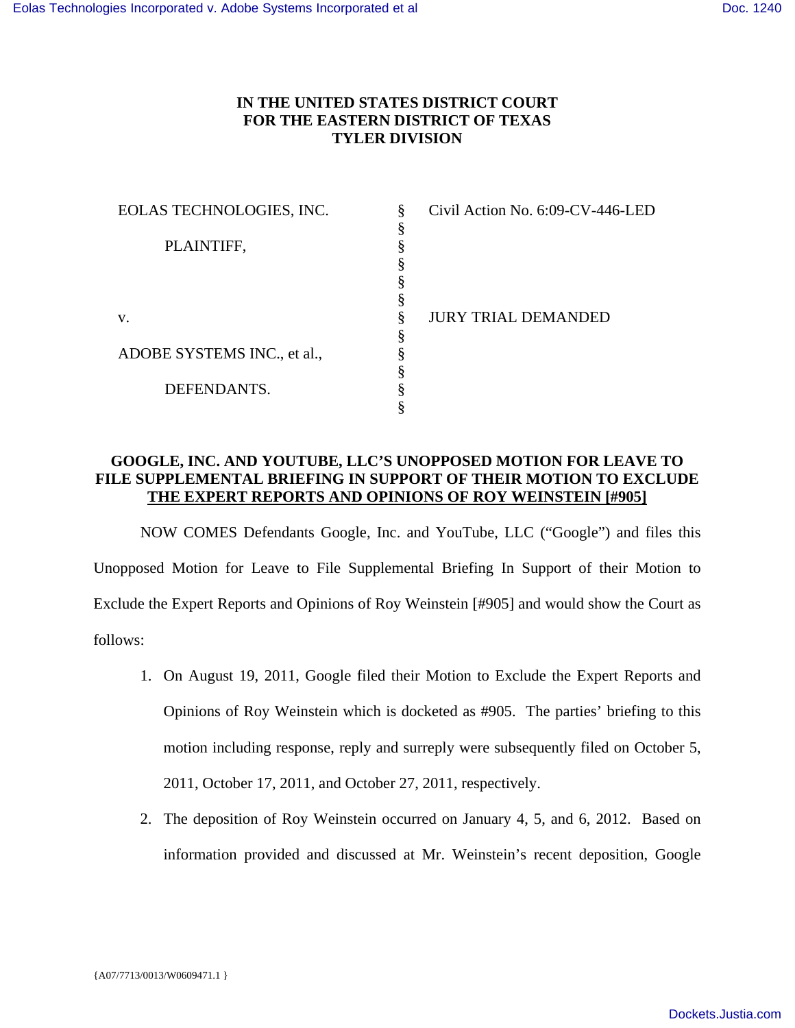## **IN THE UNITED STATES DISTRICT COURT FOR THE EASTERN DISTRICT OF TEXAS TYLER DIVISION**

| EOLAS TECHNOLOGIES, INC.    | 8 | Civil Action No. 6:09-CV-446-LED |
|-----------------------------|---|----------------------------------|
|                             |   |                                  |
| PLAINTIFF,                  |   |                                  |
|                             |   |                                  |
|                             |   |                                  |
|                             |   |                                  |
| V.                          |   | JURY TRIAL DEMANDED              |
|                             |   |                                  |
| ADOBE SYSTEMS INC., et al., |   |                                  |
|                             |   |                                  |
| DEFENDANTS.                 |   |                                  |
|                             |   |                                  |

## **GOOGLE, INC. AND YOUTUBE, LLC'S UNOPPOSED MOTION FOR LEAVE TO FILE SUPPLEMENTAL BRIEFING IN SUPPORT OF THEIR MOTION TO EXCLUDE THE EXPERT REPORTS AND OPINIONS OF ROY WEINSTEIN [#905]**

 NOW COMES Defendants Google, Inc. and YouTube, LLC ("Google") and files this Unopposed Motion for Leave to File Supplemental Briefing In Support of their Motion to Exclude the Expert Reports and Opinions of Roy Weinstein [#905] and would show the Court as follows:

- 1. On August 19, 2011, Google filed their Motion to Exclude the Expert Reports and Opinions of Roy Weinstein which is docketed as #905. The parties' briefing to this motion including response, reply and surreply were subsequently filed on October 5, 2011, October 17, 2011, and October 27, 2011, respectively.
- 2. The deposition of Roy Weinstein occurred on January 4, 5, and 6, 2012. Based on information provided and discussed at Mr. Weinstein's recent deposition, Google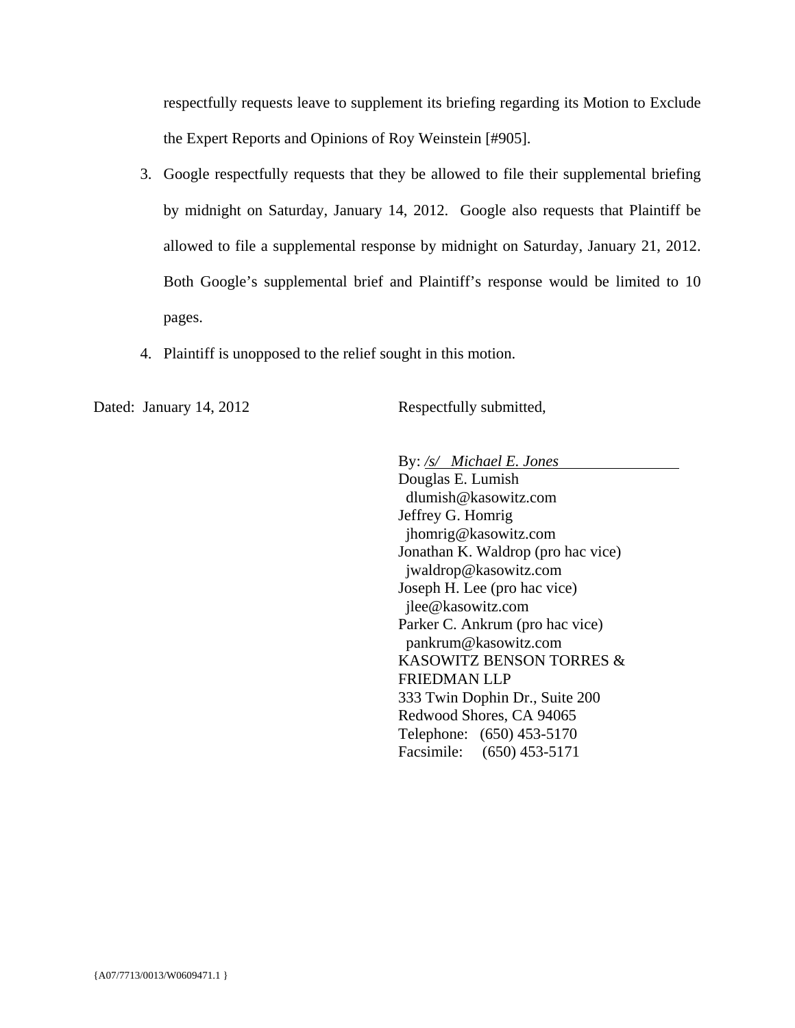respectfully requests leave to supplement its briefing regarding its Motion to Exclude the Expert Reports and Opinions of Roy Weinstein [#905].

- 3. Google respectfully requests that they be allowed to file their supplemental briefing by midnight on Saturday, January 14, 2012. Google also requests that Plaintiff be allowed to file a supplemental response by midnight on Saturday, January 21, 2012. Both Google's supplemental brief and Plaintiff's response would be limited to 10 pages.
- 4. Plaintiff is unopposed to the relief sought in this motion.

Dated: January 14, 2012 Respectfully submitted,

By: */s/ Michael E. Jones* 

Douglas E. Lumish dlumish@kasowitz.com Jeffrey G. Homrig jhomrig@kasowitz.com Jonathan K. Waldrop (pro hac vice) jwaldrop@kasowitz.com Joseph H. Lee (pro hac vice) jlee@kasowitz.com Parker C. Ankrum (pro hac vice) pankrum@kasowitz.com KASOWITZ BENSON TORRES & FRIEDMAN LLP 333 Twin Dophin Dr., Suite 200 Redwood Shores, CA 94065 Telephone: (650) 453-5170 Facsimile: (650) 453-5171